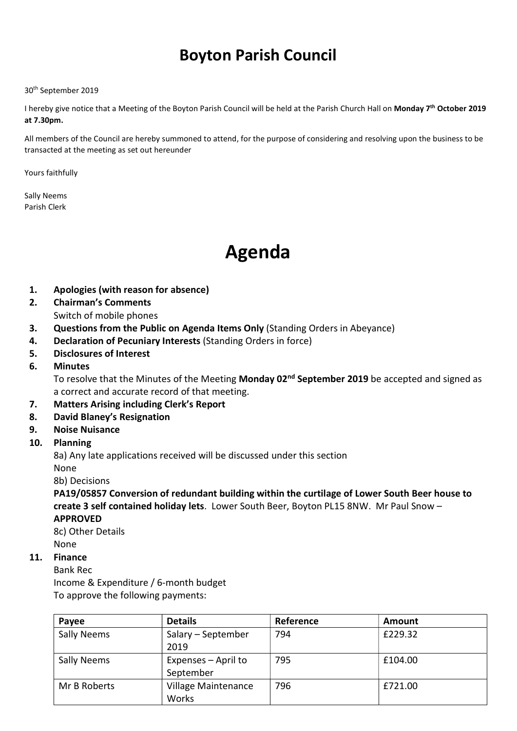# Boyton Parish Council

30th September 2019

I hereby give notice that a Meeting of the Boyton Parish Council will be held at the Parish Church Hall on Monday 7<sup>th</sup> October 2019 at 7.30pm.

All members of the Council are hereby summoned to attend, for the purpose of considering and resolving upon the business to be transacted at the meeting as set out hereunder

Yours faithfully

Sally Neems Parish Clerk

# Agenda

- 1. Apologies (with reason for absence)
- 2. Chairman's Comments
	- Switch of mobile phones
- 3. Questions from the Public on Agenda Items Only (Standing Orders in Abeyance)
- 4. Declaration of Pecuniary Interests (Standing Orders in force)
- 5. Disclosures of Interest
- 6. Minutes

To resolve that the Minutes of the Meeting Monday 02<sup>nd</sup> September 2019 be accepted and signed as a correct and accurate record of that meeting.

- 7. Matters Arising including Clerk's Report
- 8. David Blaney's Resignation
- 9. Noise Nuisance

#### 10. Planning

8a) Any late applications received will be discussed under this section None

8b) Decisions

PA19/05857 Conversion of redundant building within the curtilage of Lower South Beer house to create 3 self contained holiday lets. Lower South Beer, Boyton PL15 8NW. Mr Paul Snow – APPROVED

8c) Other Details None

#### 11. Finance

Bank Rec Income & Expenditure / 6-month budget To approve the following payments:

| Payee              | <b>Details</b>                   | Reference | Amount  |
|--------------------|----------------------------------|-----------|---------|
| <b>Sally Neems</b> | Salary – September<br>2019       | 794       | £229.32 |
| <b>Sally Neems</b> | Expenses - April to<br>September | 795       | £104.00 |
| Mr B Roberts       | Village Maintenance<br>Works     | 796       | £721.00 |